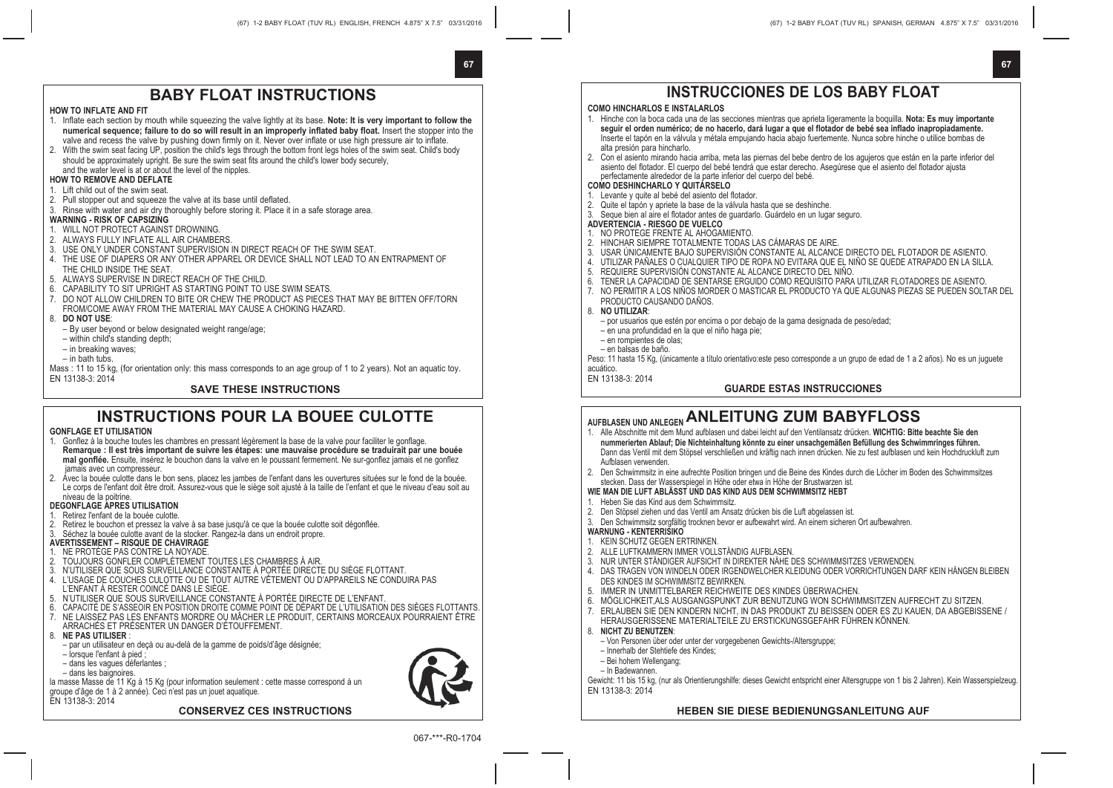**67**

**67**

## **BABY FLOAT INSTRUCTIONS**

### **HOW TO INFLATE AND FIT**

- 1. Inflate each section by mouth while squeezing the valve lightly at its base. **Note: It is very important to follow the numerical sequence; failure to do so will result in an improperly inflated baby float.** Insert the stopper into the valve and recess the valve by pushing down firmly on it. Never over inflate or use high pressure air to inflate.
- 2. With the swim seat facing UP, position the child's legs through the bottom front legs holes of the swim seat. Child's body should be approximately upright. Be sure the swim seat fits around the child's lower body securely, and the water level is at or about the level of the nipples.

#### **HOW TO REMOVE AND DEFLATE**

### 1. Lift child out of the swim seat.

- 2. Pull stopper out and squeeze the valve at its base until deflated.
- 3. Rinse with water and air dry thoroughly before storing it. Place it in a safe storage area.

### **WARNING - RISK OF CAPSIZING**

- 1. WILL NOT PROTECT AGAINST DROWNING.
- 2. ALWAYS FULLY INFLATE ALL AIR CHAMBERS.
- 3. USE ONLY UNDER CONSTANT SUPERVISION IN DIRECT REACH OF THE SWIM SEAT.
- 4. THE USE OF DIAPERS OR ANY OTHER APPAREL OR DEVICE SHALL NOT LEAD TO AN ENTRAPMENT OF THE CHILD INSIDE THE SEAT.
- 5. ALWAYS SUPERVISE IN DIRECT REACH OF THE CHILD.
- 6. CAPABILITY TO SIT UPRIGHT AS STARTING POINT TO USE SWIM SEATS.
- 7. DO NOT ALLOW CHILDREN TO BITE OR CHEW THE PRODUCT AS PIECES THAT MAY BE BITTEN OFF/TORN FROM/COME AWAY FROM THE MATERIAL MAY CAUSE A CHOKING HAZARD.
- 8. **DO NOT USE**:
	- By user beyond or below designated weight range/age;
- within child's standing depth;
- in breaking waves;
- in bath tubs.

Mass : 11 to 15 kg, (for orientation only: this mass corresponds to an age group of 1 to 2 years). Not an aquatic toy. EN 13138-3: 2014

### **SAVE THESE INSTRUCTIONS**

## **INSTRUCTIONS POUR LA BOUFF CULOTTE**

### **GONFLAGE ET UTILISATION**

- 1. Gonflez à la bouche toutes les chambres en pressant légèrement la base de la valve pour faciliter le gonflage. **Remarque : Il est très important de suivre les étapes: une mauvaise procédure se traduirait par une bouée mal gonflée.** Ensuite, insérez le bouchon dans la valve en le poussant fermement. Ne sur-gonflez jamais et ne gonflez jamais avec un compresseur.
- 2. Avec la bouée culotte dans le bon sens, placez les jambes de l'enfant dans les ouvertures situées sur le fond de la bouée. Le corps de l'enfant doit être droit. Assurez-vous que le siège soit ajusté à la taille de l'enfant et que le niveau d'eau soit au niveau de la poitrine.

### **DEGONFLAGE APRES UTILISATION**

- 1. Retirez l'enfant de la bouée culotte.
- 2. Retirez le bouchon et pressez la valve à sa base jusqu'à ce que la bouée culotte soit dégonflée.
- 3. Séchez la bouée culotte avant de la stocker. Rangez-la dans un endroit propre.

### **AVERTISSEMENT – RISQUE DE CHAVIRAGE**

- 1. NE PROTÈGE PAS CONTRE LA NOYADE.
- 2. TOUJOURS GONFLER COMPLÈTEMENT TOUTES LES CHAMBRES À AIR.
- 
- 3. N'UTILISER QUE SOUS SURVEILLANCE CONSTANTE À PORTÉE DIRECTE DU SIÈGE FLOTTANT.<br>4. L'USAGE DE COUCHES CULOTTE OU DE TOUT AUTRE VÊTEMENT OU D'APPAREILS NE CONDUIRA PAS. L'ENFANT À RESTER COINCÉ DANS LE SIÈGE.
- 5. N'UTILISER QUE SOUS SURVEILLANCE CONSTANTE À PORTÉE DIRECTE DE L'ENFANT.
- 
- 6. CAPACITE DE S'ASSEOIR EN POSITION DROITE COMME POINT DE DEPART DE L'UTILISATION DES SIEGES FLOTTANTS.<br>7. NE LAISSEZ PAS LES ENFANTS MORDRE OU MÂCHER LE PRODUIT, CERTAINS MORCEAUX POURRAIENT ÊTRE ARRACHÉS ET PRÉSENTER UN DANGER D'ÉTOUFFEMENT.
- 8. **NE PAS UTILISER** :
	- par un utilisateur en deçà ou au-delà de la gamme de poids/d'âge désignée;
- lorsque l'enfant à pied ;
- dans les vagues déferlantes ;
- dans les baignoires.

la masse Masse de 11 Kg à 15 Kg (pour information seulement : cette masse correspond à un groupe d'âge de 1 à 2 année). Ceci n'est pas un jouet aquatique.

#### EN 13138-3: 2014

### **CONSERVEZ CES INSTRUCTIONS**



067-\*\*\*-R0-1704

# **INSTRUCCIONES DE LOS BABY FLOAT**

### **COMO HINCHARLOS E INSTALARLOS**

- 1. Hinche con la boca cada una de las secciones mientras que aprieta ligeramente la boquilla. **Nota: Es muy importante seguir el orden numérico; de no hacerlo, dará lugar a que el flotador de bebé sea inflado inapropiadamente.** Inserte el tapón en la válvula y métala empujando hacia abajo fuertemente. Nunca sobre hinche o utilice bombas de alta presión para hincharlo.
- 2. Con el asiento mirando hacia arriba, meta las piernas del bebe dentro de los agujeros que están en la parte inferior del asiento del flotador. El cuerpo del bebé tendrá que estar derecho. Asegúrese que el asiento del flotador ajusta perfectamente alrededor de la parte inferior del cuerpo del bebé.

### **COMO DESHINCHARLO Y QUITÁRSELO**

- 1. Levante y quite al bebé del asiento del flotador.
- 2. Quite el tapón y apriete la base de la válvula hasta que se deshinche.
- 3. Seque bien al aire el flotador antes de guardarlo. Guárdelo en un lugar seguro.
- **ADVERTENCIA RIESGO DE VUELCO**
- 1. NO PROTEGE FRENTE AL AHOGAMIENTO.
- 2. HINCHAR SIEMPRE TOTALMENTE TODAS LAS CÁMARAS DE AIRE.
- 3. USAR ÚNICAMENTE BAJO SUPERVISIÓN CONSTANTE AL ALCANCE DIRECTO DEL FLOTADOR DE ASIENTO.
- 4. UTILIZAR PAÑALES O CUALQUIER TIPO DE ROPA NO EVITARA QUE EL NIÑO SE QUEDE ATRAPADO EN LA SILLA.
- 5. REQUIERE SUPERVISIÓN CONSTANTE AL ALCANCE DIRECTO DEL NIÑO.
- 6. TENER LA CAPACIDAD DE SENTARSE ERGUIDO COMO REQUISITO PARA UTILIZAR FLOTADORES DE ASIENTO.
- 7. NO PERMITIR A LOS NIÑOS MORDER O MASTICAR EL PRODUCTO YA QUE ALGUNAS PIEZAS SE PUEDEN SOLTAR DEL
	- PRODUCTO CAUSANDO DAÑOS.
- 8. **NO UTILIZAR**:
	- por usuarios que estén por encima o por debajo de la gama designada de peso/edad;
	- en una profundidad en la que el niño haga pie;
	- en rompientes de olas;
	- en balsas de baño.

Peso: 11 hasta 15 Kg, (únicamente a título orientativo:este peso corresponde a un grupo de edad de 1 a 2 años). No es un juguete acuático.

EN 13138-3: 2014

### **GUARDE ESTAS INSTRUCCIONES**

# **AUFBLASEN UND ANLEGEN ANLEITUNG ZUM BABYFLOSS**

- 1. Alle Abschnitte mit dem Mund aufblasen und dabei leicht auf den Ventilansatz drücken. **WICHTIG: Bitte beachte Sie den nummerierten Ablauf; Die Nichteinhaltung könnte zu einer unsachgemäßen Befüllung des Schwimmringes führen.** Dann das Ventil mit dem Stöpsel verschließen und kräftig nach innen drücken. Nie zu fest aufblasen und kein Hochdruckluft zum Aufblasen verwenden.
- 2. Den Schwimmsitz in eine aufrechte Position bringen und die Beine des Kindes durch die Löcher im Boden des Schwimmsitzes stecken. Dass der Wasserspiegel in Höhe oder etwa in Höhe der Brustwarzen ist.
- **WIE MAN DIE LUFT ABLÄSST UND DAS KIND AUS DEM SCHWIMMSITZ HEBT**
- 1. Heben Sie das Kind aus dem Schwimmsitz.
- 2. Den Stöpsel ziehen und das Ventil am Ansatz drücken bis die Luft abgelassen ist.
- 3. Den Schwimmsitz sorgfältig trocknen bevor er aufbewahrt wird. An einem sicheren Ort aufbewahren.
- **WARNUNG KENTERRISIKO**
- 1. KEIN SCHUTZ GEGEN ERTRINKEN.
- 2. ALLE LUFTKAMMERN IMMER VOLLSTÄNDIG AUFBLASEN.
- 3. NUR UNTER STÄNDIGER AUFSICHT IN DIREKTER NÄHE DES SCHWIMMSITZES VERWENDEN.
- 4. DAS TRAGEN VON WINDELN ODER IRGENDWELCHER KLEIDUNG ODER VORRICHTUNGEN DARF KEIN HÄNGEN BLEIBEN DES KINDES IM SCHWIMMSITZ BEWIRKEN.
- 5. IMMER IN UNMITTELBARER REICHWEITE DES KINDES ÜBERWACHEN.
- 6. MÖGLICHKEIT,ALS AUSGANGSPUNKT ZUR BENUTZUNG WON SCHWIMMSITZEN AUFRECHT ZU SITZEN.
- 7. ERLAUBEN SIE DEN KINDERN NICHT, IN DAS PRODUKT ZU BEISSEN ODER ES ZU KAUEN, DA ABGEBISSENE / HERAUSGERISSENE MATERIALTEILE ZU ERSTICKUNGSGEFAHR FÜHREN KÖNNEN.
- 8. **NICHT ZU BENUTZEN**:
	- Von Personen über oder unter der vorgegebenen Gewichts-/Altersgruppe;
	- Innerhalb der Stehtiefe des Kindes;
- Bei hohem Wellengang;
- In Badewannen.

Gewicht: 11 bis 15 kg, (nur als Orientierungshilfe: dieses Gewicht entspricht einer Altersgruppe von 1 bis 2 Jahren). Kein Wasserspielzeug. EN 13138-3: 2014

### **HEBEN SIE DIESE BEDIENUNGSANLEITUNG AUF**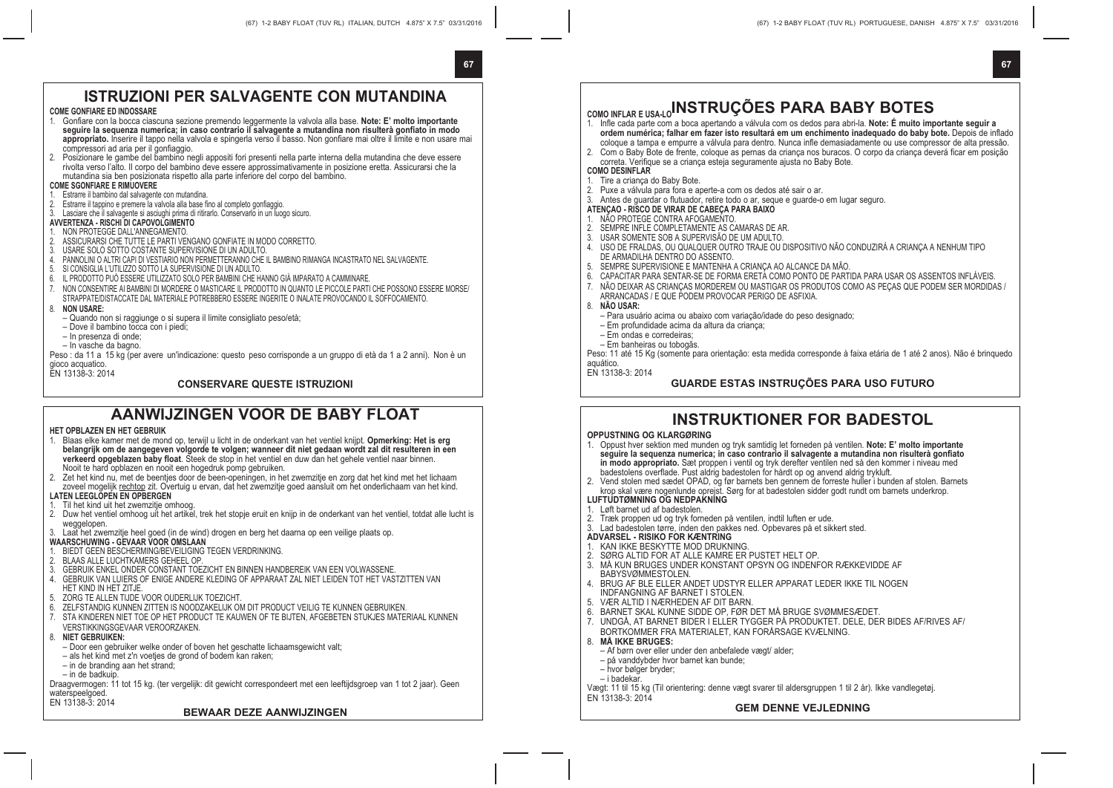# **67 67**

## **ISTRUZIONI PER SALVAGENTE CON MUTANDINA**

### **COME GONFIARE ED INDOSSARE**

- 1. Gonfiare con la bocca ciascuna sezione premendo leggermente la valvola alla base. **Note: E' molto importante seguire la sequenza numerica; in caso contrario il salvagente a mutandina non risulterà gonfiato in modo appropriato.** Inserire il tappo nella valvola e spingerla verso il basso. Non gonfiare mai oltre il limite e non usare mai compressori ad aria per il gonfiaggio.
- 2. Posizionare le gambe del bambino negli appositi fori presenti nella parte interna della mutandina che deve essere rivolta verso l'alto. Il corpo del bambino deve essere approssimativamente in posizione eretta. Assicurarsi che la mutandina sia ben posizionata rispetto alla parte inferiore del corpo del bambino.

- **COME SGONFIARE E RIMUOVERE** 1. Estrarre il bambino dal salvagente con mutandina.
- 2. Estrarre il tappino e premere la valvola alla base fino al completo gonfiaggio.
- 3. Lasciare che il salvagente si asciughi prima di ritirarlo. Conservarlo in un luogo sicuro.

### **AVVERTENZA - RISCHI DI CAPOVOLGIMENTO**

- 
- 1. NON PROTEGGE DALL'ANNEGAMENTO.<br>2. ASSICURARSI CHE TUTTE I E PARTI VENGANO GONFIATE IN MODO CORRETTO.
- 
- 2. ASSICURARSI CHE IUTTE LE PARTIT VENGANO GUNPIATE IN MUDU CURRETTU.<br>3. USARE SOLO SOTTO COSTANTE SUPERVISIONE DI UN ADULTO.<br>4. PANNOLINI O ALTRI CAPI DI VESTIARIO NON PERMETTERANNO CHE IL BAMBINO RIMANGA INCASTRATO
- 5. SI CONSIGLIA L'UTILIZZO SOTTO LA SUPERVISIONE DI UN ADULTO.
- 6. IL PRODOTTO PUÒ ESSERE UTILIZZATO SOLO PER BAMBINI CHE HANNO GIÀ IMPARATO A CAMMINARE.
- 7. NON CONSENTIRE AI BAMBINI DI MORDERE O MASTICARE IL PRODOTTO IN QUANTO LE PICCOLE PARTI CHE POSSONO ESSERE MORSE/
- STRAPPATE/DISTACCATE DAL MATERIALE POTREBBERO ESSERE INGERITE O INALATE PROVOCANDO IL SOFFOCAMENTO.

### 8. **NON USARE:**

- Quando non si raggiunge o si supera il limite consigliato peso/età; Dove il bambino tocca con i piedi;
- 
- In presenza di onde;
- In vasche da bagno.

Peso : da 11 a 15 kg (per avere un'indicazione: questo peso corrisponde a un gruppo di età da 1 a 2 anni). Non è un gioco acquatico.

EN 13138-3: 2014

### **CONSERVARE QUESTE ISTRUZIONI**

## **AANWIJZINGEN VOOR DE BABY FLOAT**

### **HET OPBLAZEN EN HET GEBRUIK**

- 1. Blaas elke kamer met de mond op, terwijl u licht in de onderkant van het ventiel knijpt. **Opmerking: Het is erg belangrijk om de aangegeven volgorde te volgen; wanneer dit niet gedaan wordt zal dit resulteren in een verkeerd opgeblazen baby float**. Steek de stop in het ventiel en duw dan het gehele ventiel naar binnen. Nooit te hard opblazen en nooit een hogedruk pomp gebruiken.
- 2. Zet het kind nu, met de beentjes door de been-openingen, in het zwemzitje en zorg dat het kind met het lichaam zoveel mogelijk rechtop zit. Overtuig u ervan, dat het zwemzitje goed aansluit om het onderlichaam van het kind. **LATEN LEEGLOPEN EN OPBERGEN**

### 1. Til het kind uit het zwemzitje omhoog.

- 
- 2. Duw het ventiel omhoog uit het artikel, trek het stopje eruit en knijp in de onderkant van het ventiel, totdat alle lucht is weggelopen.
- 3. Laat het zwemzitje heel goed (in de wind) drogen en berg het daarna op een veilige plaats op.
- **WAARSCHUWING GEVAAR VOOR OMSLAAN** 1. BIEDT GEEN BESCHERMING/BEVEILIGING TEGEN VERDRINKING.
- 2. BLAAS ALLE LUCHTKAMERS GEHEEL OP.
- 
- 3. GEBRUIK ENKEL ONDER CONSTANT TOEZICHT EN BINNEN HANDBEREIK VAN EEN VOLWASSENE. 4. GEBRUIK VAN LUIERS OF ENIGE ANDERE KLEDING OF APPARAAT ZAL NIET LEIDEN TOT HET VASTZITTEN VAN
- HET KIND IN HET ZITJE
- 5. ZORG TE ALLEN TIJDE VOOR OUDERLIJK TOEZICHT.
- 6. ZELFSTANDIG KUNNEN ZITTEN IS NOODZAKELIJK OM DIT PRODUCT VEILIG TE KUNNEN GEBRUIKEN.
- 7. STA KINDEREN NIET TOE OP HET PRODUCT TE KAUWEN OF TE BIJTEN, AFGEBETEN STUKJES MATERIAAL KUNNEN VERSTIKKINGSGEVAAR VEROORZAKEN.
- 8. **NIET GEBRUIKEN:**
	- Door een gebruiker welke onder of boven het geschatte lichaamsgewicht valt;
	- als het kind met z'n voetjes de grond of bodem kan raken;
- in de branding aan het strand;
- in de badkuip.
- Draagvermogen: 11 tot 15 kg. (ter vergelijk: dit gewicht correspondeert met een leeftijdsgroep van 1 tot 2 jaar). Geen waterspeelgoed.

EN 13138-3: 2014

### **BEWAAR DEZE AANWIJZINGEN**

# **COMO INFLAR E USA-LOINSTRUÇÕES PARA BABY BOTES**

- 1. Infle cada parte com a boca apertando a válvula com os dedos para abri-la. **Note: É muito importante seguir a ordem numérica; falhar em fazer isto resultará em um enchimento inadequado do baby bote.** Depois de inflado coloque a tampa e empurre a válvula para dentro. Nunca infle demasiadamente ou use compressor de alta pressão. 2. Com o Baby Bote de frente, coloque as pernas da criança nos buracos. O corpo da criança deverá ficar em posição
- correta. Verifique se a criança esteja seguramente ajusta no Baby Bote.

### **COMO DESINFLAR**

- Tire a crianca do Baby Bote. 2. Puxe a válvula para fora e aperte-a com os dedos até sair o ar.
- 
- 3. Antes de guardar o flutuador, retire todo o ar, seque e guarde-o em lugar seguro.
- **ATENÇAO RISCO DE VIRAR DE CABEÇA PARA BAIXO**
- 1. NÃO PROTEGE CONTRA AFOGAMENTO.
- 2. SEMPRE INFLE COMPLETAMENTE AS CAMARAS DE AR.<br>3. LISAR SOMENTE SOR A SUPERVISÃO DE UM ADULTO
- 3. USAR SOMENTE SOB A SUPERVISÃO DE UM ADULTO.
- 4. USO DE FRALDAS, OU QUALQUER OUTRO TRAJE OU DISPOSITIVO NÃO CONDUZIRÁ A CRIANÇA A NENHUM TIPO DE ARMADILHA DENTRO DO ASSENTO.
- 5. SEMPRE SUPERVISIONE E MANTENHA A CRIANÇA AO ALCANCE DA MÃO.
- 6. CAPACITAR PARA SENTAR-SE DE FORMA ERETA COMO PONTO DE PARTIDA PARA USAR OS ASSENTOS INFLÁVEIS.
- 7. NÃO DEIXAR AS CRIANÇAS MORDEREM OU MASTIGAR OS PRODUTOS COMO AS PEÇAS QUE PODEM SER MORDIDAS /
	- ARRANCADAS / E QUE PODEM PROVOCAR PERIGO DE ASFIXIA.
- 8. **NÃO USAR:**
	- Para usuário acima ou abaixo com variação/idade do peso designado;
	- Em profundidade acima da altura da criança;
	- Em ondas e corredeiras;
	- Em banheiras ou tobogãs.

Peso: 11 até 15 Kg (somente para orientação: esta medida corresponde à faixa etária de 1 até 2 anos). Não é brinquedo

aquático. EN 13138-3: 2014

### **GUARDE ESTAS INSTRUÇÕES PARA USO FUTURO**

### **INSTRUKTIONER FOR BADESTOL**

#### **OPPUSTNING OG KLARGØRING**

- 1. Oppust hver sektion med munden og tryk samtidig let forneden på ventilen. **Note: E' molto importante seguire la sequenza numerica; in caso contrario il salvagente a mutandina non risulterà gonfiato in modo appropriato.** Sæt proppen i ventil og tryk derefter ventilen ned så den kommer i niveau med badestolens overflade. Pust aldrig badestolen for hårdt op og anvend aldrig trykluft.
- 2. Vend stolen med sædet OPAD, og før barnets ben gennem de forreste huller i bunden af stolen. Barnets krop skal være nogenlunde oprejst. Sørg for at badestolen sidder godt rundt om barnets underkrop.
- **LUFTUDTØMNING OG NEDPAKNING**
- Løft barnet ud af badestolen.
- 2. Træk proppen ud og tryk forneden på ventilen, indtil luften er ude.
- 3. Lad badestolen tørre, inden den pakkes ned. Opbevares på et sikkert sted.

### **ADVARSEL - RISIKO FOR KÆNTRING**

- 1. KAN IKKE BESKYTTE MOD DRUKNING.
- 2. SØRG ALTID FOR AT ALLE KAMRE ER PUSTET HELT OP.
- 3. MÅ KUN BRUGES UNDER KONSTANT OPSYN OG INDENFOR RÆKKEVIDDE AF BABYSVØMMESTOLEN.
	-
- 4. BRUG AF BLE ELLER ANDET UDSTYR ELLER APPARAT LEDER IKKE TIL NOGEN INDFANGNING AF BARNET I STOLEN.
- 5. VÆR ALTID I NÆRHEDEN AF DIT BARN.
- 6. BARNET SKAL KUNNE SIDDE OP, FØR DET MÅ BRUGE SVØMMESÆDET.
- 7. UNDGÅ, AT BARNET BIDER I ELLER TYGGER PÅ PRODUKTET. DELE, DER BIDES AF/RIVES AF/ BORTKOMMER FRA MATERIALET, KAN FORÅRSAGE KVÆLNING.
- 8. **MÅ IKKE BRUGES:**
- Af børn over eller under den anbefalede vægt/ alder;
- på vanddybder hvor barnet kan bunde;
- hvor bølger bryder;
- i badekar.

Vægt: 11 til 15 kg (Til orientering: denne vægt svarer til aldersgruppen 1 til 2 år). Ikke vandlegetøj. EN 13138-3: 2014

### **GEM DENNE VEJLEDNING**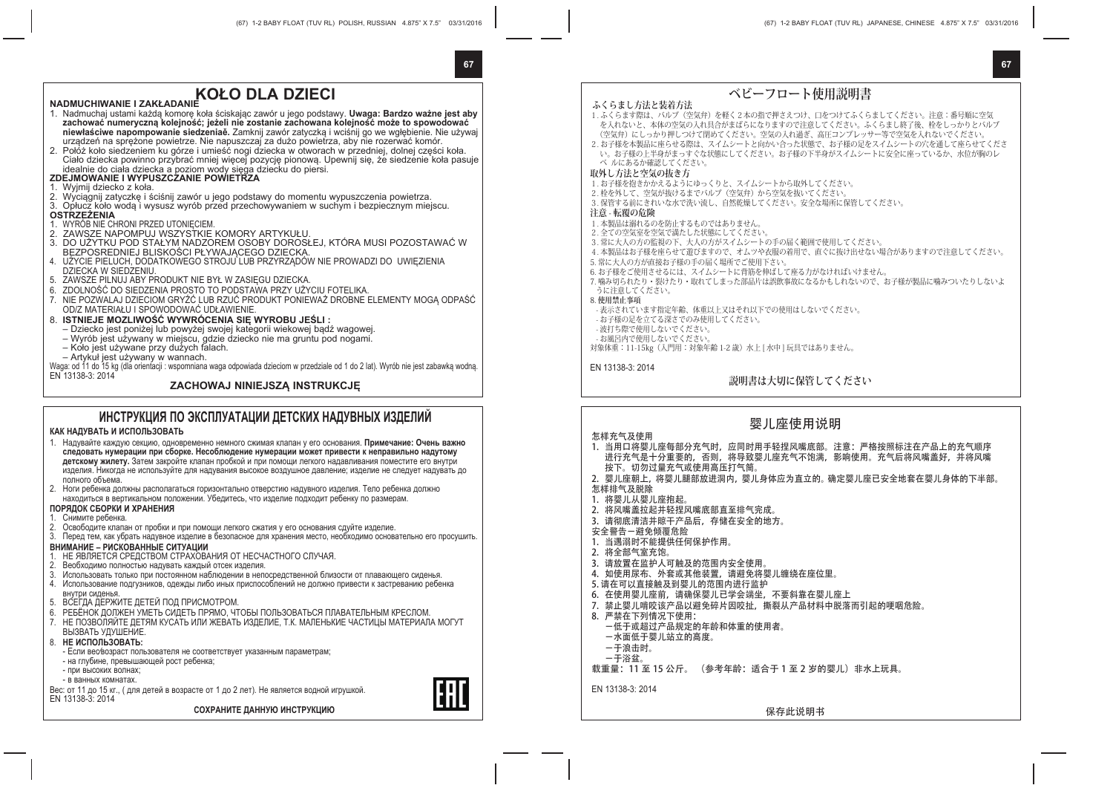### **67 67**

# **KOŁO DLA DZIECI NADMUCHIWANIE I ZAKŁADANIE**

- 1. Nadmuchaj ustami każdą komorę koła ściskając zawór u jego podstawy. **Uwaga: Bardzo ważne jest aby zachować numeryczną kolejność; jeżeli nie zostanie zachowana kolejność może to spowodować niewłaściwe napompowanie siedzeniaě.** Zamknij zawór zatyczką i wciśnij go we wgłębienie. Nie używaj urządzeń na sprężone powietrze. Nie napuszczaj za dużo powietrza, aby nie rozerwać komór.
- 2. Połóż koło siedzeniem ku górze i umieść nogi dziecka w otworach w przedniej, dolnej części koła. Ciało dziecka powinno przybrać mniej więcej pozycję pionową. Upewnij się, że siedzenie koła pasuje

## idealnie do ciała dziecka a poziom wody sięga dziecku do piersi. **ZDEJMOWANIE I WYPUSZCZANIE POWIETRZA**

- 1. Wyjmij dziecko z koła.
- 2. Wyciągnij zatyczkę i ściśnij zawór u jego podstawy do momentu wypuszczenia powietrza.
- 3. Opłucz koło wodą i wysusz wyrób przed przechowywaniem w suchym i bezpiecznym miejscu.

#### **OSTRZEŻENIA**

- 1. WYRÓB NIE CHRONI PRZED UTONIĘCIEM.
- 2. ZAWSZE NAPOMPUJ WSZYSTKIE KOMORY ARTYKUŁU.
- 3. DO UŻYTKU POD STAŁYM NADZOREM OSOBY DOROSŁEJ, KTÓRA MUSI POZOSTAWAĆ W BEZPOSREDNIEJ BLISKOŚCI PŁYWAJĄCEGO DZIECKA.
- 4. UŹYCIE PIELUCH, DODATKOWEGO STROJU LUB PRZYRZĄDÓW NIE PROWADZI DO UWIĘZIENIA DZIECKA W SIEDZENIU.
- 5. ZAWSZE PILNUJ ABY PRODUKT NIE BYŁ W ZASIĘGU DZIECKA.
- 6. ZDOLNOŚĆ DO SIEDZENIA PROSTO TO PODSTAWA PRZY UŻYCIU FOTELIKA.
- 7. NIE POZWALAJ DZIECIOM GRYŹĆ LUB RZUĆ PRODUKT PONIEWAŻ DROBNE ELEMENTY MOGĄ ODPAŚĆ OD/Z MATERIAŁU I SPOWODOWAĆ UDŁAWIENIE.

#### 8. **ISTNIEJE MOZLIWOŚĆ WYWRÓCENIA SIĘ WYROBU JEŚLI :**

- Dziecko jest poniżej lub powyżej swojej kategorii wiekowej bądź wagowej.
- Wyrób jest używany w miejscu, gdzie dziecko nie ma gruntu pod nogami.
- Koło jest używane przy dużych falach.
- Artykuł jest używany w wannach.

Waga: od 11 do 15 kg (dla orientacji : wspomniana waga odpowiada dzieciom w przedziale od 1 do 2 lat). Wyrób nie jest zabawką wodną. EN 13138-3: 2014

### **ZACHOWAJ NINIEJSZĄ INSTRUKCJĘ**

### **ИНСТРУКЦИЯ ПО ЭКСПЛУАТАЦИИ ДЕТСКИХ НАДУВНЫХ ИЗДЕЛИЙ**

### **КАК НАДУВАТЬ И ИСПОЛЬЗОВАТЬ**

- 1. Надувайте каждую секцию, одновременно немного сжимая клапан у его основания. **Примечание: Очень важно следовать нумерации при сборке. Несоблюдение нумерации может привести к неправильно надутому детскому жилету.** Затем закройте клапан пробкой и при помощи легкого надавливания поместите его внутри изделия. Никогда не используйте для надувания высокое воздушное давление; изделие не следует надувать до полного объема.
- 2. Ноги ребенка должны располагаться горизонтально отверстию надувного изделия. Тело ребенка должно находиться в вертикальном положении. Убедитесь, что изделие подходит ребенку по размерам. **ПОРЯДОК СБОРКИ И ХРАНЕНИЯ**
- 
- 1. Снимите ребенка.
- 2. Освободите клапан от пробки и при помощи легкого сжатия у его основания сдуйте изделие.
- 3. Перед тем, как убрать надувное изделие в безопасное для хранения место, необходимо основательно его просушить.

### **ВНИМАНИЕ – РИСКОВАННЫЕ СИТУАЦИИ**

- 1. НЕ ЯВЛЯЕТСЯ СРЕДСТВОМ СТРАХОВАНИЯ ОТ НЕСЧАСТНОГО СЛУЧАЯ.
- 2. Веобходимо полностью надувать каждый отсек изделия.
- 3. Использовать только при постоянном наблюдении в непосредственной близости от плавающего сиденья.
- 4. Использование подгузников, одежды либо иных приспособлений не должно привести к застреванию ребенка внутри сиденья.
- 5. ВСЕГДА ДЕРЖИТЕ ДЕТЕЙ ПОД ПРИСМОТРОМ.
- 6. РЕБЁНОК ДОЛЖЕН УМЕТЬ СИДЕТЬ ПРЯМО, ЧТОБЫ ПОЛЬЗОВАТЬСЯ ПЛАВАТЕЛЬНЫМ КРЕСЛОМ.
- 7. НЕ ПОЗВОЛЯЙТЕ ДЕТЯМ КУСАТЬ ИЛИ ЖЕВАТЬ ИЗДЕЛИЕ, Т.К. МАЛЕНЬКИЕ ЧАСТИЦЫ МАТЕРИАЛА МОГУТ ВЫЗВАТЬ УДУШЕНИЕ.
- 8. **НЕ ИСПОЛЬЗОВАТЬ:**
- Если вес∕возраст пользователя не соответствует указанным параметрам;
- на глубине, превышающей рост ребенка;
- при высоких волнах;
- в ванных комнатах.

Вес: от 11 до 15 кг., ( для детей в возрасте от 1 до 2 лет). Не является водной игрушкой.

EN 13138-3: 2014

**СОХРАНИТЕ ДАННУЮ ИНСТРУКЦИЮ**



The Customs union Commission has approved by its Decision of 15.07.2011 No.711 Graphic representation of the single mark and "Regulation on the single mark for products circulation in the market of the Customs union member-states and its usage".

**ベビーフロート使用説明書 ふくらまし方法と装着方法** 1. ふくらます際は、バルブ(空気弁)を軽く2本の指で押さえつけ、口をつけてふくらましてください。注意:番号順に空気 を入れないと、本体の空気の入れ具合がまばらになりますので注意してください。ふくらまし終了後、栓をしっかりとバルブ (空気弁)にしっかり押しつけて閉めてください。空気の入れ過ぎ、高圧コンプレッサー等で空気を入れないでください。 2. お子様を本製品に座らせる際は、スイムシートと向かい合った状態で、お子様の足をスイムシートの穴を通して座らせてくださ い。お子様の上半身がまっすぐな状態にしてください。お子様の下半身がスイムシートに安全に座っているか、水位が胸のレ ベ ルにあるか確認してください。 **取外し方法と空気の抜き方** 1. お子様を抱きかかえるようにゆっくりと、スイムシートから取外してください。 2. 栓を外して、空気が抜けるまでバルブ(空気弁)から空気を抜いてください。 3. 保管する前にきれいな水で洗い流し、自然乾燥してください。安全な場所に保管してください。 **注意 - 転覆の危険** 1. 本製品は溺れるのを防止するものではありません。 2. 全ての空気室を空気で満たした状態にしてください。 3. 常に大人の方の監視の下、大人の方がスイムシートの手の届く範囲で使用してください。 4. 本製品はお子様を座らせて遊びますので、オムツや衣服の着用で、直ぐに抜け出せない場合がありますので注意してください。 5. 常に大人の方が直接お子様の手の届く場所でご使用下さい。 6. お子様をご使用させるには、スイムシートに背筋を伸ばして座る力がなければいけません。 7. 噛み切られたり・裂けたり・取れてしまった部品片は誤飲事故になるかもしれないので、お子様が製品に噛みついたりしないよ うに注意してください。 8. **使用禁止事項** - 表示されています指定年齢、体重以上又はそれ以下での使用はしないでください。 - お子様の足を立てる深さでのみ使用してください。 - 波打ち際で使用しないでください。 - お風呂内で使用しないでください。 対象体重: 11-15kg (入門用: 対象年齢 1-2 歳) 水上 [ 水中 ] 玩具ではありません。

EN 13138-3: 2014

### **説明書は大切に保管してください**

### 婴儿座使用说明

- 怎样充气及使用
- 1. 当用口将婴儿座每部分充气时, 应同时用手轻捏风嘴底部。注意: 严格按照标注在产品上的充气顺序 进行充气是十分重要的,否则,将导致婴儿座充气不饱满,影响使用。充气后将风嘴盖好,并将风嘴
- 按下。切勿过量充气或使用高压打气筒。
- 2. 婴儿座朝上, 将婴儿腿部放进洞内, 婴儿身体应为直立的。确定婴儿座已安全地套在婴儿身体的下半部。
- 怎样排气及脱除
- 1. 将婴儿从婴儿座拘起。
- 2. 将风嘴盖拉起并轻捏风嘴底部直至排气完成。
- 3. 请彻底清洁并晾干产品后,存储在安全的地方。
- 安全警告-避免倾覆危险
- 1. 当遇溺时不能提供任何保护作用。
- 2. 将全部气室充饱。
- 3. 请放置在监护人可触及的范围内安全使用。
- 4. 如使用尿布、外套或其他装置, 请避免将婴儿缠绕在座位里。
- 5. 请在可以直接触及到婴儿的范围内进行监护
- 6. 在使用婴儿座前, 请确保婴儿已学会端坐, 不要斜靠在婴儿座上
- 7. 禁止婴儿啃咬该产品以避免碎片因咬扯,撕裂从产品材料中脱落而引起的哽咽危险。
- 8. 严禁在下列情况下使用:
- -低于或超过产品规定的年龄和体重的使用者。
- -水面低于婴儿站立的高度。
- -于浪击时。
- -于浴盆。
- 载重量: 11 至 15 公斤。 (参考年龄: 话合干 1 至 2 岁的婴儿) 非水上玩具。

EN 13138-3: 2014

保存此说明书